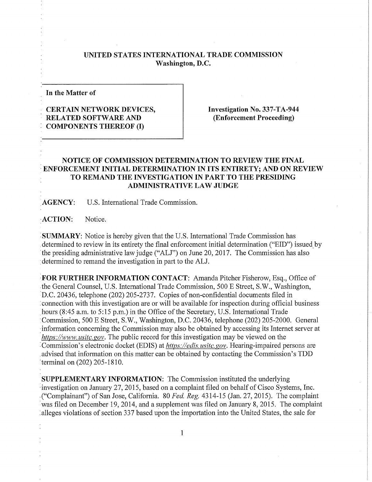## **UNITED STATES INTERNATIONAL TRADE COMMISSION Washington, D.C.**

**In the Matter of** 

## **CERTAIN NETWORK DEVICES, RELATED SOFTWARE AND COMPONENTS THEREOF (I)**

**Investigation No. 337-TA-944 (Enforcement Proceeding)** 

## **NOTICE OF COMMISSION DETERMINATION TO REVIEW THE FINAL ENFORCEMENT INITIAL DETERMINATION IN ITS ENTIRETY; AND ON REVIEW TO REMAND THE INVESTIGATION IN PART TO THE PRESIDING ADMINISTRATIVE LAW JUDGE**

**AGENCY:** U.S. International Trade Commission.

**ACTION:** Notice.

**SUMMARY:** Notice is hereby given that the U.S. International Trade Commission has determined to review in its entirety the final enforcement initial determination ("EID") issued by the presiding administrative law judge ("ALJ") on June 20, 2017. The Commission has also ; determined to remand the investigation in part to the ALJ.

**FOR FURTHER INFORMATION CONTACT:** Amanda Pitcher Fisherow, Esq., Office of the General Counsel, U.S. International Trade Commission, 500 E Street, S.W., Washington, D.C. 20436, telephone (202) 205-2737. Copies of non-confidential documents filed in connection with this investigation are or will be available for inspection during official business hours (8:45 a.m. to 5:15 p.m.) in the Office of the Secretary, U.S. International Trade Commission, 500 E Street, S.W., Washington, D.C. 20436, telephone (202) 205-2000. General information concerning the Commission may also be obtained by accessing its Internet server at *https://www. usitc.gov.* The public record for this investigation may be viewed on the Commission's electronic docket (EDIS) at *https://edis. usitc.gov.* Hearing-impaired persons are advised that information on this matter can be obtained by contacting the Commission's TDD terminal on (202) 205-1810.

**SUPPLEMENTARY INFORMATION:** The Commission instituted the underlying investigation on January 27, 2015, based on a complaint filed on behalf of Cisco Systems, Inc. ("Complainant") of San Jose, California. 80 *Fed, Reg.* 4314-15 (Jan. 27, 2015). The complaint was filed on December 19, 2014, and a supplement was filed on January 8, 2015. The complaint alleges violations of section 337 based upon the importation into the United States, the sale for

1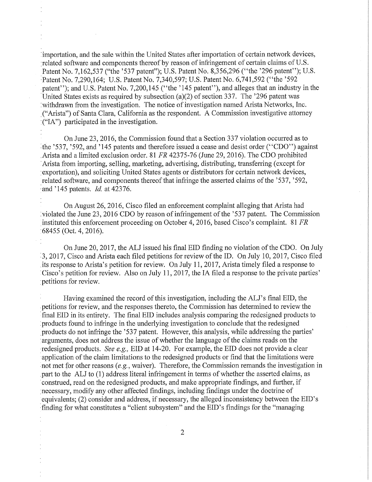importation, and the sale within the United States after importation of certain network devices, related software and components thereof by reason of infringement of certain claims of U.S. Patent No. 7,162,537 ("the '537 patent"); U.S. Patent No. 8,356,296 ("the '296 patent"); U.S. Patent No. 7,290,164; U.S. Patent No. 7,340,597; U.S. Patent No. 6,741,592 ("the '592 patent"); and U.S. Patent No. 7,200,145 ("the '145 patent"), and alleges that an industry in the United States exists as required by subsection (a)(2) of section 337. The '296 patent was **<sup>i</sup>** withdrawn from the investigation. The notice of investigation named Arista Networks, Inc. ("Arista") of Santa Clara, California as the respondent. A Commission investigative attorney ; ("IA") participated in the investigation.

On June 23, 2016, the Commission found that a Section 337 violation occurred as to the '537, '592, and '145 patents and therefore issued a cease and desist order ("CDO") against Arista and a limited exclusion order. 81 *FR* 42375-76 (June 29, 2016). The CDO prohibited Arista from importing, selling, marketing, advertising, distributing, transferring (except for exportation), and soliciting United States agents or distributors for certain network devices, related software, and components thereof that infringe the asserted claims of the '537, '592, : and '145 patents. *Id.* at 42376.

On August 26, 2016, Cisco filed an enforcement complaint alleging that Arista had : violated the June 23, 2016 CDO by reason of infringement of the '537 patent. The Commission instituted this enforcement proceeding on October 4, 2016, based Cisco's complaint. 81 *FR*  68455 (Oct. 4, 2016).

On June 20, 2017, the ALJ issued his final EID finding no violation of the CDO. On July 3, 2017, Cisco and Arista each filed petitions for review of the ID. On July 10, 2017, Cisco filed its response to Arista's petition for review. On July 11, 2017, Arista timely filed a response to Cisco's petition for review. Also on July 11, 2017, the IA filed a response to the private parties' petitions for review.

Having examined the record of this investigation, including the ALJ's final EID, the petitions for review, and the responses thereto, the Commission has determined to review the final EID in its entirety. The final EID includes analysis comparing the redesigned products to products found to infringe in the underlying investigation to conclude that the redesigned products do not infringe the '537 patent. However, this analysis, while addressing the parties' arguments, does not address the issue of whether the language of the claims reads on the redesigned products. *See e.g.,* EID at 14-20. For example, the EID does not provide a clear application of the claim limitations to the redesigned products or find that the limitations were not met for other reasons *(e.g.*, waiver). Therefore, the Commission remands the investigation in part to the ALJ to (1) address literal infringement in terms of whether the asserted claims, as construed, read on the redesigned products, and make appropriate findings, and further, if necessary, modify any other affected findings, including findings under the doctrine of equivalents; (2) consider and address, if necessary, the alleged inconsistency between the EID's finding for what constitutes a "client subsystem" and the EID's findings for the "managing